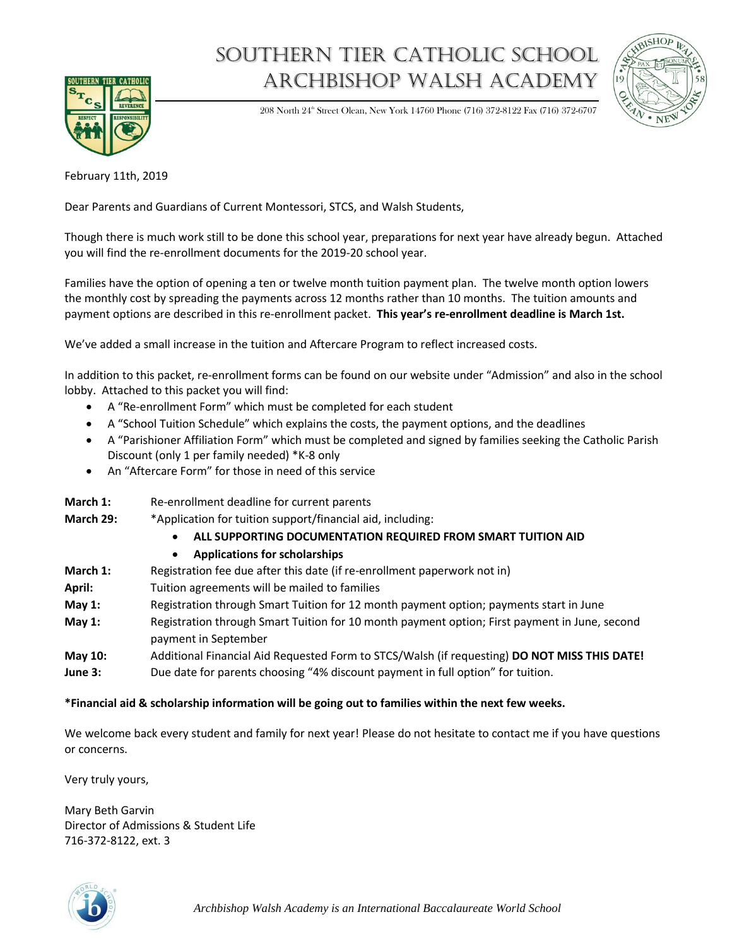

## Southern tier catholic school Archbishop Walsh academy



208 North 24<sup>th</sup> Street Olean, New York 14760 Phone (716) 372-8122 Fax (716) 372-6707

February 11th, 2019

Dear Parents and Guardians of Current Montessori, STCS, and Walsh Students,

Though there is much work still to be done this school year, preparations for next year have already begun. Attached you will find the re-enrollment documents for the 2019-20 school year.

Families have the option of opening a ten or twelve month tuition payment plan. The twelve month option lowers the monthly cost by spreading the payments across 12 months rather than 10 months. The tuition amounts and payment options are described in this re-enrollment packet. **This year's re-enrollment deadline is March 1st.** 

We've added a small increase in the tuition and Aftercare Program to reflect increased costs.

In addition to this packet, re-enrollment forms can be found on our website under "Admission" and also in the school lobby. Attached to this packet you will find:

- A "Re-enrollment Form" which must be completed for each student
- A "School Tuition Schedule" which explains the costs, the payment options, and the deadlines
- A "Parishioner Affiliation Form" which must be completed and signed by families seeking the Catholic Parish Discount (only 1 per family needed) \*K-8 only
- An "Aftercare Form" for those in need of this service
- **March 1:** Re-enrollment deadline for current parents **March 29:** \*Application for tuition support/financial aid, including:
	- **ALL SUPPORTING DOCUMENTATION REQUIRED FROM SMART TUITION AID**
	- **Applications for scholarships**
- **March 1:** Registration fee due after this date (if re-enrollment paperwork not in)
- **April:** Tuition agreements will be mailed to families
- **May 1:** Registration through Smart Tuition for 12 month payment option; payments start in June
- **May 1:** Registration through Smart Tuition for 10 month payment option; First payment in June, second payment in September
- **May 10:** Additional Financial Aid Requested Form to STCS/Walsh (if requesting) **DO NOT MISS THIS DATE! June 3:** Due date for parents choosing "4% discount payment in full option" for tuition.

## **\*Financial aid & scholarship information will be going out to families within the next few weeks.**

We welcome back every student and family for next year! Please do not hesitate to contact me if you have questions or concerns.

Very truly yours,

Mary Beth Garvin Director of Admissions & Student Life 716-372-8122, ext. 3